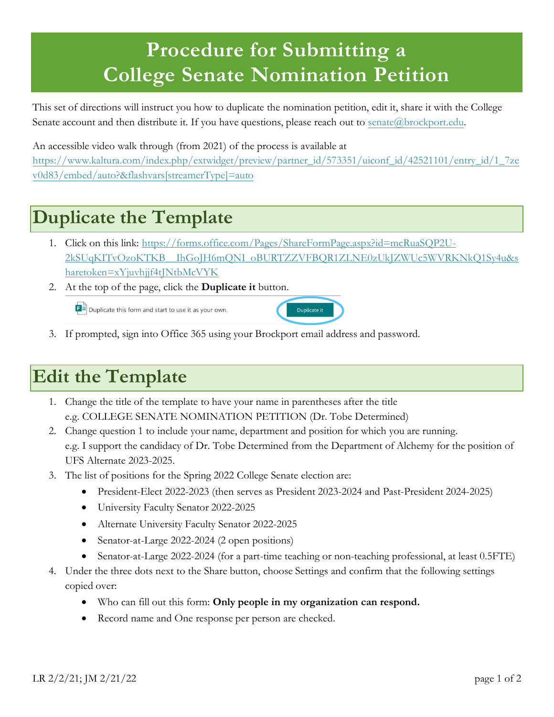# **Procedure for Submitting a College Senate Nomination Petition**

This set of directions will instruct you how to duplicate the nomination petition, edit it, share it with the College Senate account and then distribute it. If you have questions, please reach out to [senate@brockport.edu.](mailto:senate@brockport.edu)

An accessible video walk through (from 2021) of the process is available at [https://www.kaltura.com/index.php/extwidget/preview/partner\\_id/573351/uiconf\\_id/42521101/entry\\_id/1\\_7ze](https://www.kaltura.com/index.php/extwidget/preview/partner_id/573351/uiconf_id/42521101/entry_id/1_7zev0d83/embed/auto?&flashvars%5bstreamerType%5d=auto) [v0d83/embed/auto?&flashvars\[streamerType\]=auto](https://www.kaltura.com/index.php/extwidget/preview/partner_id/573351/uiconf_id/42521101/entry_id/1_7zev0d83/embed/auto?&flashvars%5bstreamerType%5d=auto)

### **Duplicate the Template**

1. Click on this link: [https://forms.office.com/Pages/ShareFormPage.aspx?id=mcRuaSQP2U-](https://forms.office.com/Pages/ShareFormPage.aspx?id=mcRuaSQP2U-2kSUqKITvOzoKTKB__IhGoJH6mQNI_oBURTZZVFBQR1ZLNE0zUkJZWUc5WVRKNkQ1Sy4u&sharetoken=xYjuvhjjf4tJNtbMcVYK)[2kSUqKITvOzoKTKB\\_\\_IhGoJH6mQNI\\_oBURTZZVFBQR1ZLNE0zUkJZWUc5WVRKNkQ1Sy4u&s](https://forms.office.com/Pages/ShareFormPage.aspx?id=mcRuaSQP2U-2kSUqKITvOzoKTKB__IhGoJH6mQNI_oBURTZZVFBQR1ZLNE0zUkJZWUc5WVRKNkQ1Sy4u&sharetoken=xYjuvhjjf4tJNtbMcVYK) [haretoken=xYjuvhjjf4tJNtbMcVYK](https://forms.office.com/Pages/ShareFormPage.aspx?id=mcRuaSQP2U-2kSUqKITvOzoKTKB__IhGoJH6mQNI_oBURTZZVFBQR1ZLNE0zUkJZWUc5WVRKNkQ1Sy4u&sharetoken=xYjuvhjjf4tJNtbMcVYK)

Duplicate it

2. At the top of the page, click the **Duplicate it** button.

Duplicate this form and start to use it as your own.

3. If prompted, sign into Office 365 using your Brockport email address and password.

### **Edit the Template**

- 1. Change the title of the template to have your name in parentheses after the title e.g. COLLEGE SENATE NOMINATION PETITION (Dr. Tobe Determined)
- 2. Change question 1 to include your name, department and position for which you are running. e.g. I support the candidacy of Dr. Tobe Determined from the Department of Alchemy for the position of UFS Alternate 2023-2025.
- 3. The list of positions for the Spring 2022 College Senate election are:
	- President-Elect 2022-2023 (then serves as President 2023-2024 and Past-President 2024-2025)
	- University Faculty Senator 2022-2025
	- Alternate University Faculty Senator 2022-2025
	- Senator-at-Large 2022-2024 (2 open positions)
	- Senator-at-Large 2022-2024 (for a part-time teaching or non-teaching professional, at least 0.5FTE)
- 4. Under the three dots next to the Share button, choose Settings and confirm that the following settings copied over:
	- Who can fill out this form: **Only people in my organization can respond.**
	- Record name and One response per person are checked.